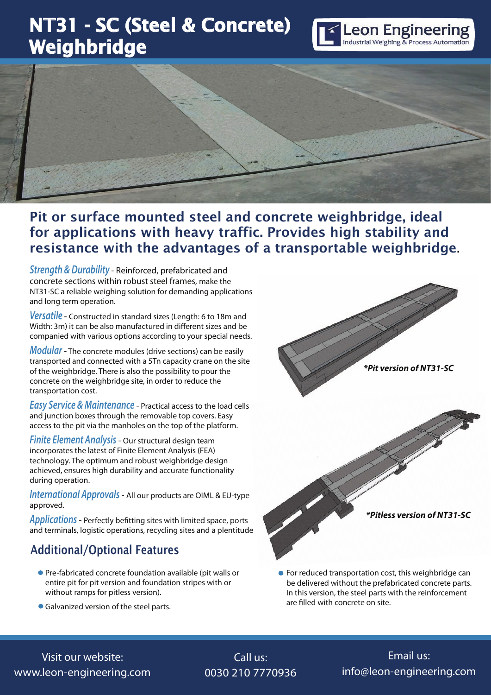# NT31 - SC (Steel & Concrete) Weighbridge





### Pit or surface mounted steel and concrete weighbridge, ideal for applications with heavy traffic. Provides high stability and resistance with the advantages of a transportable weighbridge*.*

*Strength & Durability* - Reinforced, prefabricated and concrete sections within robust steel frames, make the NT31-SC a reliable weighing solution for demanding applications and long term operation.

*Versatile* - Constructed in standard sizes (Length: 6 to 18m and Width: 3m) it can be also manufactured in different sizes and be companied with various options according to your special needs.

*Modular* - The concrete modules (drive sections) can be easily transported and connected with a 5Tn capacity crane on the site of the weighbridge. There is also the possibility to pour the concrete on the weighbridge site, in order to reduce the transportation cost.

*Easy Service & Maintenance* - Practical access to the load cells and junction boxes through the removable top covers. Easy access to the pit via the manholes on the top of the platform.

*Finite Element Analysis* - Our structural design team incorporates the latest of Finite Element Analysis (FEA) technology. The optimum and robust weighbridge design achieved, ensures high durability and accurate functionality during operation.

*International Approvals* - All our products are OIML & EU-type approved.

*Applications* - Perfectly befitting sites with limited space, ports and terminals, logistic operations, recycling sites and a plentitude

### Additional/Optional Features

- Pre-fabricated concrete foundation available (pit walls or entire pit for pit version and foundation stripes with or without ramps for pitless version).
- Galvanized version of the steel parts.



**•** For reduced transportation cost, this weighbridge can be delivered without the prefabricated concrete parts. In this version, the steel parts with the reinforcement are filled with concrete on site.

#### Visit our website: www.leon-engineering.com

## Call us: 0030 210 7770936

## Email us: info@leon-engineering.com